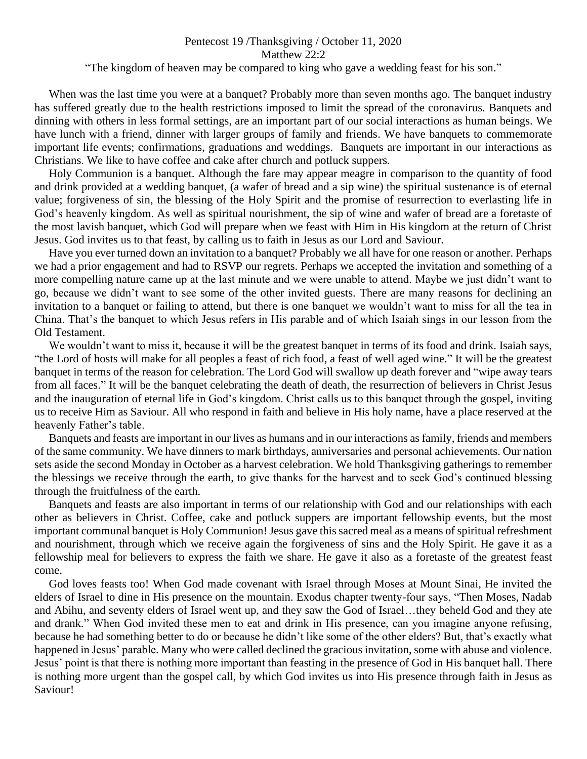## Pentecost 19 /Thanksgiving / October 11, 2020 Matthew 22:2

## "The kingdom of heaven may be compared to king who gave a wedding feast for his son."

 When was the last time you were at a banquet? Probably more than seven months ago. The banquet industry has suffered greatly due to the health restrictions imposed to limit the spread of the coronavirus. Banquets and dinning with others in less formal settings, are an important part of our social interactions as human beings. We have lunch with a friend, dinner with larger groups of family and friends. We have banquets to commemorate important life events; confirmations, graduations and weddings. Banquets are important in our interactions as Christians. We like to have coffee and cake after church and potluck suppers.

 Holy Communion is a banquet. Although the fare may appear meagre in comparison to the quantity of food and drink provided at a wedding banquet, (a wafer of bread and a sip wine) the spiritual sustenance is of eternal value; forgiveness of sin, the blessing of the Holy Spirit and the promise of resurrection to everlasting life in God's heavenly kingdom. As well as spiritual nourishment, the sip of wine and wafer of bread are a foretaste of the most lavish banquet, which God will prepare when we feast with Him in His kingdom at the return of Christ Jesus. God invites us to that feast, by calling us to faith in Jesus as our Lord and Saviour.

 Have you ever turned down an invitation to a banquet? Probably we all have for one reason or another. Perhaps we had a prior engagement and had to RSVP our regrets. Perhaps we accepted the invitation and something of a more compelling nature came up at the last minute and we were unable to attend. Maybe we just didn't want to go, because we didn't want to see some of the other invited guests. There are many reasons for declining an invitation to a banquet or failing to attend, but there is one banquet we wouldn't want to miss for all the tea in China. That's the banquet to which Jesus refers in His parable and of which Isaiah sings in our lesson from the Old Testament.

We wouldn't want to miss it, because it will be the greatest banquet in terms of its food and drink. Isaiah says, "the Lord of hosts will make for all peoples a feast of rich food, a feast of well aged wine." It will be the greatest banquet in terms of the reason for celebration. The Lord God will swallow up death forever and "wipe away tears from all faces." It will be the banquet celebrating the death of death, the resurrection of believers in Christ Jesus and the inauguration of eternal life in God's kingdom. Christ calls us to this banquet through the gospel, inviting us to receive Him as Saviour. All who respond in faith and believe in His holy name, have a place reserved at the heavenly Father's table.

 Banquets and feasts are important in our lives as humans and in our interactions as family, friends and members of the same community. We have dinners to mark birthdays, anniversaries and personal achievements. Our nation sets aside the second Monday in October as a harvest celebration. We hold Thanksgiving gatherings to remember the blessings we receive through the earth, to give thanks for the harvest and to seek God's continued blessing through the fruitfulness of the earth.

 Banquets and feasts are also important in terms of our relationship with God and our relationships with each other as believers in Christ. Coffee, cake and potluck suppers are important fellowship events, but the most important communal banquet is Holy Communion! Jesus gave this sacred meal as a means of spiritual refreshment and nourishment, through which we receive again the forgiveness of sins and the Holy Spirit. He gave it as a fellowship meal for believers to express the faith we share. He gave it also as a foretaste of the greatest feast come.

 God loves feasts too! When God made covenant with Israel through Moses at Mount Sinai, He invited the elders of Israel to dine in His presence on the mountain. Exodus chapter twenty-four says, "Then Moses, Nadab and Abihu, and seventy elders of Israel went up, and they saw the God of Israel…they beheld God and they ate and drank." When God invited these men to eat and drink in His presence, can you imagine anyone refusing, because he had something better to do or because he didn't like some of the other elders? But, that's exactly what happened in Jesus' parable. Many who were called declined the gracious invitation, some with abuse and violence. Jesus' point is that there is nothing more important than feasting in the presence of God in His banquet hall. There is nothing more urgent than the gospel call, by which God invites us into His presence through faith in Jesus as Saviour!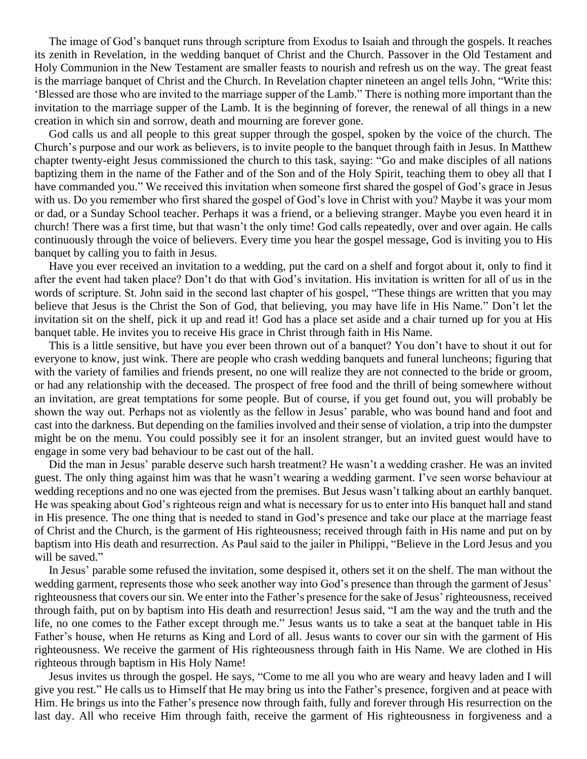The image of God's banquet runs through scripture from Exodus to Isaiah and through the gospels. It reaches its zenith in Revelation, in the wedding banquet of Christ and the Church. Passover in the Old Testament and Holy Communion in the New Testament are smaller feasts to nourish and refresh us on the way. The great feast is the marriage banquet of Christ and the Church. In Revelation chapter nineteen an angel tells John, "Write this: 'Blessed are those who are invited to the marriage supper of the Lamb." There is nothing more important than the invitation to the marriage supper of the Lamb. It is the beginning of forever, the renewal of all things in a new creation in which sin and sorrow, death and mourning are forever gone.

 God calls us and all people to this great supper through the gospel, spoken by the voice of the church. The Church's purpose and our work as believers, is to invite people to the banquet through faith in Jesus. In Matthew chapter twenty-eight Jesus commissioned the church to this task, saying: "Go and make disciples of all nations baptizing them in the name of the Father and of the Son and of the Holy Spirit, teaching them to obey all that I have commanded you." We received this invitation when someone first shared the gospel of God's grace in Jesus with us. Do you remember who first shared the gospel of God's love in Christ with you? Maybe it was your mom or dad, or a Sunday School teacher. Perhaps it was a friend, or a believing stranger. Maybe you even heard it in church! There was a first time, but that wasn't the only time! God calls repeatedly, over and over again. He calls continuously through the voice of believers. Every time you hear the gospel message, God is inviting you to His banquet by calling you to faith in Jesus.

 Have you ever received an invitation to a wedding, put the card on a shelf and forgot about it, only to find it after the event had taken place? Don't do that with God's invitation. His invitation is written for all of us in the words of scripture. St. John said in the second last chapter of his gospel, "These things are written that you may believe that Jesus is the Christ the Son of God, that believing, you may have life in His Name." Don't let the invitation sit on the shelf, pick it up and read it! God has a place set aside and a chair turned up for you at His banquet table. He invites you to receive His grace in Christ through faith in His Name.

 This is a little sensitive, but have you ever been thrown out of a banquet? You don't have to shout it out for everyone to know, just wink. There are people who crash wedding banquets and funeral luncheons; figuring that with the variety of families and friends present, no one will realize they are not connected to the bride or groom, or had any relationship with the deceased. The prospect of free food and the thrill of being somewhere without an invitation, are great temptations for some people. But of course, if you get found out, you will probably be shown the way out. Perhaps not as violently as the fellow in Jesus' parable, who was bound hand and foot and cast into the darkness. But depending on the families involved and their sense of violation, a trip into the dumpster might be on the menu. You could possibly see it for an insolent stranger, but an invited guest would have to engage in some very bad behaviour to be cast out of the hall.

 Did the man in Jesus' parable deserve such harsh treatment? He wasn't a wedding crasher. He was an invited guest. The only thing against him was that he wasn't wearing a wedding garment. I've seen worse behaviour at wedding receptions and no one was ejected from the premises. But Jesus wasn't talking about an earthly banquet. He was speaking about God's righteous reign and what is necessary for us to enter into His banquet hall and stand in His presence. The one thing that is needed to stand in God's presence and take our place at the marriage feast of Christ and the Church, is the garment of His righteousness; received through faith in His name and put on by baptism into His death and resurrection. As Paul said to the jailer in Philippi, "Believe in the Lord Jesus and you will be saved."

In Jesus' parable some refused the invitation, some despised it, others set it on the shelf. The man without the wedding garment, represents those who seek another way into God's presence than through the garment of Jesus' righteousness that covers our sin. We enter into the Father's presence for the sake of Jesus' righteousness, received through faith, put on by baptism into His death and resurrection! Jesus said, "I am the way and the truth and the life, no one comes to the Father except through me." Jesus wants us to take a seat at the banquet table in His Father's house, when He returns as King and Lord of all. Jesus wants to cover our sin with the garment of His righteousness. We receive the garment of His righteousness through faith in His Name. We are clothed in His righteous through baptism in His Holy Name!

Jesus invites us through the gospel. He says, "Come to me all you who are weary and heavy laden and I will give you rest." He calls us to Himself that He may bring us into the Father's presence, forgiven and at peace with Him. He brings us into the Father's presence now through faith, fully and forever through His resurrection on the last day. All who receive Him through faith, receive the garment of His righteousness in forgiveness and a